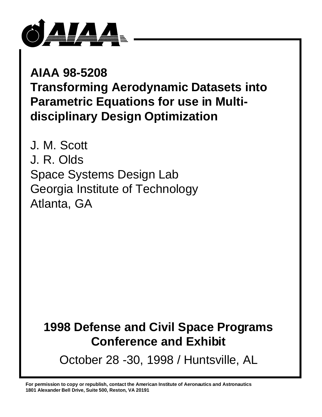

**AIAA 98-5208 Transforming Aerodynamic Datasets into Parametric Equations for use in Multidisciplinary Design Optimization**

J. M. Scott J. R. Olds Space Systems Design Lab Georgia Institute of Technology Atlanta, GA

# **1998 Defense and Civil Space Programs Conference and Exhibit**

October 28 -30, 1998 / Huntsville, AL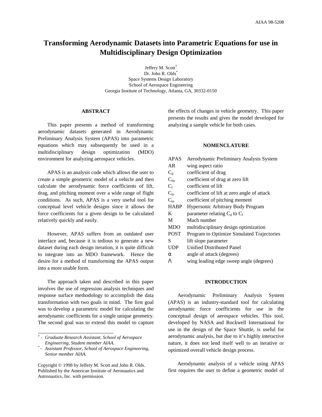# **Transforming Aerodynamic Datasets into Parametric Equations for use in Multidisciplinary Design Optimization**

Jeffery M. Scott<sup>†</sup> Dr. John R. Olds\* Space Systems Design Laboratory School of Aerospace Engineering Georgia Institute of Technology, Atlanta, GA, 30332-0150

#### **ABSTRACT**

This paper presents a method of transforming aerodynamic datasets generated in Aerodynamic Preliminary Analysis System (APAS) into parametric equations which may subsequently be used in a multidisciplinary design optimization (MDO) environment for analyzing aerospace vehicles.

APAS is an analysis code which allows the user to create a simple geometric model of a vehicle and then calculate the aerodynamic force coefficients of lift, drag, and pitching moment over a wide range of flight conditions. As such, APAS is a very useful tool for conceptual level vehicle designs since it allows the force coefficients for a given design to be calculated relatively quickly and easily.

However, APAS suffers from an outdated user interface and, because it is tedious to generate a new dataset during each design iteration, it is quite difficult to integrate into an MDO framework. Hence the desire for a method of transforming the APAS output into a more usable form.

The approach taken and described in this paper involves the use of regression analysis techniques and response surface methodology to accomplish the data transformation with two goals in mind. The first goal was to develop a parametric model for calculating the aerodynamic coefficients for a single unique geometry. The second goal was to extend this model to capture

*† - Graduate Research Assistant, School of Aerospace Engineering, Student member AIAA. \* - Assistant Professor, School of Aerospace Engineering,*

 $\overline{a}$ 

Copyright © 1998 by Jeffery M. Scott and John R. Olds. Published by the American Institute of Aeronautics and Astronautics, Inc. with permission.

the effects of changes in vehicle geometry. This paper presents the results and gives the model developed for analyzing a sample vehicle for both cases.

# **NOMENCLATURE**

| <b>APAS</b> | Aerodynamic Preliminary Analysis System     |
|-------------|---------------------------------------------|
| AR          | wing aspect ratio                           |
| $C_d$       | coefficient of drag                         |
| $C_{d0}$    | coefficient of drag at zero lift            |
| $C_1$       | coefficient of lift                         |
| $C_{10}$    | coefficient of lift at zero angle of attack |
| $C_{\rm m}$ | coefficient of pitching moment              |
| <b>HABP</b> | Hypersonic Arbitrary Body Program           |
| K           | parameter relating $C_d$ to $C_l$           |
| M           | Mach number                                 |
| <b>MDO</b>  | multidisciplinary design optimization       |
| <b>POST</b> | Program to Optimize Simulated Trajectories  |
| S           | lift slope parameter                        |
| <b>UDP</b>  | <b>Unified Distributed Panel</b>            |
| α           | angle of attack (degrees)                   |
| Λ           | wing leading edge sweep angle (degrees)     |

#### **INTRODUCTION**

Aerodynamic Preliminary Analysis System (APAS) is an industry-standard tool for calculating aerodynamic force coefficients for use in the conceptual design of aerospace vehicles. This tool, developed by NASA and Rockwell International for use in the design of the Space Shuttle, is useful for aerodynamic analysis, but due to it's highly interactive nature, it does not lend itself well to an iterative or optimized overall vehicle design process.

Aerodynamic analysis of a vehicle using APAS first requires the user to define a geometric model of

*Senior member AIAA.*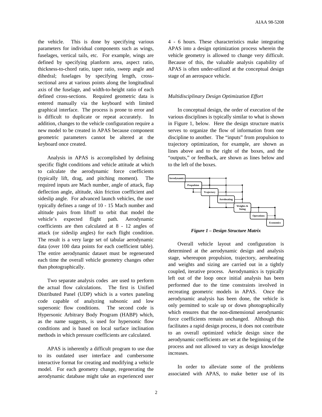the vehicle. This is done by specifying various parameters for individual components such as wings, fuselages, vertical tails, etc. For example, wings are defined by specifying planform area, aspect ratio, thickness-to-chord ratio, taper ratio, sweep angle and dihedral; fuselages by specifying length, crosssectional area at various points along the longitudinal axis of the fuselage, and width-to-height ratio of each defined cross-sections. Required geometric data is entered manually via the keyboard with limited graphical interface. The process is prone to error and is difficult to duplicate or repeat accurately. In addition, changes to the vehicle configuration require a new model to be created in APAS because component geometric parameters cannot be altered at the keyboard once created.

Analysis in APAS is accomplished by defining specific flight conditions and vehicle attitude at which to calculate the aerodynamic force coefficients (typically lift, drag, and pitching moment). The required inputs are Mach number, angle of attack, flap deflection angle, altitude, skin friction coefficient and sideslip angle. For advanced launch vehicles, the user typically defines a range of 10 - 15 Mach number and altitude pairs from liftoff to orbit that model the vehicle's expected flight path. Aerodynamic coefficients are then calculated at 8 - 12 angles of attack (or sideslip angles) for each flight condition. The result is a very large set of tabular aerodynamic data (over 100 data points for each coefficient table). The entire aerodynamic dataset must be regenerated each time the overall vehicle geometry changes other than photographically.

Two separate analysis codes are used to perform the actual flow calculations. The first is Unified Distributed Panel (UDP) which is a vortex paneling code capable of analyzing subsonic and low supersonic flow conditions. The second code is Hypersonic Arbitrary Body Program (HABP) which, as the name suggests, is used for hypersonic flow conditions and is based on local surface inclination methods in which pressure coefficients are calculated.

APAS is inherently a difficult program to use due to its outdated user interface and cumbersome interactive format for creating and modifying a vehicle model. For each geometry change, regenerating the aerodynamic database might take an experienced user 4 - 6 hours. These characteristics make integrating APAS into a design optimization process wherein the vehicle geometry is allowed to change very difficult. Because of this, the valuable analysis capability of APAS is often under-utilized at the conceptual design stage of an aerospace vehicle.

# *Multidisciplinary Design Optimization Effort*

In conceptual design, the order of execution of the various disciplines is typically similar to what is shown in Figure 1, below. Here the design structure matrix serves to organize the flow of information from one discipline to another. The "inputs" from propulsion to trajectory optimization, for example, are shown as lines above and to the right of the boxes, and the "outputs," or feedback, are shown as lines below and to the left of the boxes.



*Figure 1 – Design Structure Matrix*

Overall vehicle layout and configuration is determined at the aerodynamic design and analysis stage, whereupon propulsion, trajectory, aeroheating and weights and sizing are carried out in a tightly coupled, iterative process. Aerodynamics is typically left out of the loop once initial analysis has been performed due to the time constraints involved in recreating geometric models in APAS. Once the aerodynamic analysis has been done, the vehicle is only permitted to scale up or down photographically which ensures that the non-dimensional aerodynamic force coefficients remain unchanged. Although this facilitates a rapid design process, it does not contribute to an overall optimized vehicle design since the aerodynamic coefficients are set at the beginning of the process and not allowed to vary as design knowledge increases.

In order to alleviate some of the problems associated with APAS, to make better use of its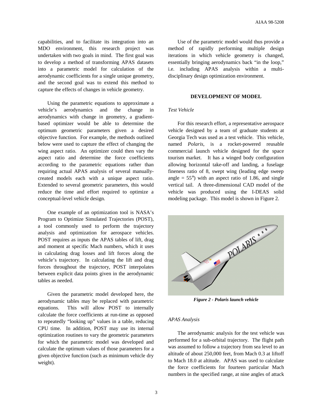capabilities, and to facilitate its integration into an MDO environment, this research project was undertaken with two goals in mind. The first goal was to develop a method of transforming APAS datasets into a parametric model for calculation of the aerodynamic coefficients for a single unique geometry, and the second goal was to extend this method to capture the effects of changes in vehicle geometry.

Using the parametric equations to approximate a vehicle's aerodynamics and the change in aerodynamics with change in geometry, a gradientbased optimizer would be able to determine the optimum geometric parameters given a desired objective function. For example, the methods outlined below were used to capture the effect of changing the wing aspect ratio. An optimizer could then vary the aspect ratio and determine the force coefficients according to the parametric equations rather than requiring actual APAS analysis of several manuallycreated models each with a unique aspect ratio. Extended to several geometric parameters, this would reduce the time and effort required to optimize a conceptual-level vehicle design.

One example of an optimization tool is NASA's Program to Optimize Simulated Trajectories (POST), a tool commonly used to perform the trajectory analysis and optimization for aerospace vehicles. POST requires as inputs the APAS tables of lift, drag and moment at specific Mach numbers, which it uses in calculating drag losses and lift forces along the vehicle's trajectory. In calculating the lift and drag forces throughout the trajectory, POST interpolates between explicit data points given in the aerodynamic tables as needed.

Given the parametric model developed here, the aerodynamic tables may be replaced with parametric equations. This will allow POST to internally calculate the force coefficients at run-time as opposed to repeatedly "looking up" values in a table, reducing CPU time. In addition, POST may use its internal optimization routines to vary the geometric parameters for which the parametric model was developed and calculate the optimum values of those parameters for a given objective function (such as minimum vehicle dry weight).

Use of the parametric model would thus provide a method of rapidly performing multiple design iterations in which vehicle geometry is changed, essentially bringing aerodynamics back "in the loop," i.e. including APAS analysis within a multidisciplinary design optimization environment.

# **DEVELOPMENT OF MODEL**

# *Test Vehicle*

For this research effort, a representative aerospace vehicle designed by a team of graduate students at Georgia Tech was used as a test vehicle. This vehicle, named *Polaris*, is a rocket-powered reusable commercial launch vehicle designed for the space tourism market. It has a winged body configuration allowing horizontal take-off and landing, a fuselage fineness ratio of 8, swept wing (leading edge sweep angle  $= 55^{\circ}$ ) with an aspect ratio of 1.86, and single vertical tail. A three-dimensional CAD model of the vehicle was produced using the I-DEAS solid modeling package. This model is shown in Figure 2.



*Figure 2 - Polaris launch vehicle*

#### *APAS Analysis*

The aerodynamic analysis for the test vehicle was performed for a sub-orbital trajectory. The flight path was assumed to follow a trajectory from sea level to an altitude of about 250,000 feet, from Mach 0.3 at liftoff to Mach 18.0 at altitude. APAS was used to calculate the force coefficients for fourteen particular Mach numbers in the specified range, at nine angles of attack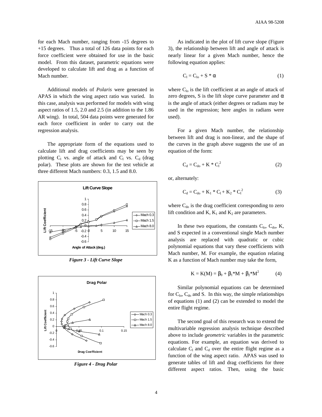for each Mach number, ranging from -15 degrees to +15 degrees. Thus a total of 126 data points for each force coefficient were obtained for use in the basic model. From this dataset, parametric equations were developed to calculate lift and drag as a function of Mach number.

Additional models of *Polaris* were generated in APAS in which the wing aspect ratio was varied. In this case, analysis was performed for models with wing aspect ratios of 1.5, 2.0 and 2.5 (in addition to the 1.86 AR wing). In total, 504 data points were generated for each force coefficient in order to carry out the regression analysis.

The appropriate form of the equations used to calculate lift and drag coefficients may be seen by plotting  $C_1$  vs. angle of attack and  $C_1$  vs.  $C_d$  (drag polar). These plots are shown for the test vehicle at three different Mach numbers: 0.3, 1.5 and 8.0.



*Figure 3 - Lift Curve Slope*



*Figure 4 - Drag Polar*

As indicated in the plot of lift curve slope (Figure 3), the relationship between lift and angle of attack is nearly linear for a given Mach number, hence the following equation applies:

$$
C_1 = C_{10} + S^* \alpha \tag{1}
$$

where  $C_{10}$  is the lift coefficient at an angle of attack of zero degrees, S is the lift slope curve parameter and  $\alpha$ is the angle of attack (either degrees or radians may be used in the regression; here angles in radians were used).

For a given Mach number, the relationship between lift and drag is non-linear, and the shape of the curves in the graph above suggests the use of an equation of the form:

$$
C_d = C_{do} + K * C_l^2
$$
 (2)

or, alternately:

$$
C_d = C_{do} + K_1 * C_1 + K_2 * C_1^2
$$
 (3)

where  $C_{\text{do}}$  is the drag coefficient corresponding to zero lift condition and K,  $K_1$  and  $K_2$  are parameters.

In these two equations, the constants  $C_{10}$ ,  $C_{10}$ , K, and S expected in a conventional single Mach number analysis are replaced with quadratic or cubic polynomial equations that vary these coefficients with Mach number, M. For example, the equation relating K as a function of Mach number may take the form,

$$
K = K(M) = \beta_0 + \beta_1 * M + \beta_2 * M^2 \tag{4}
$$

Similar polynomial equations can be determined for  $C_{10}$ ,  $C_{d0}$  and S. In this way, the simple relationships of equations (1) and (2) can be extended to model the entire flight regime.

The second goal of this research was to extend the multivariable regression analysis technique described above to include *geometric* variables in the parametric equations. For example, an equation was derived to calculate  $C_1$  and  $C_d$  over the entire flight regime as a function of the wing aspect ratio. APAS was used to generate tables of lift and drag coefficients for three different aspect ratios. Then, using the basic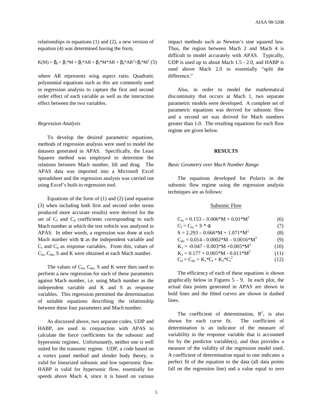relationships in equations (1) and (2), a new version of equation (4) was determined having the form,

$$
K(M) = \beta_0 + \beta_1 * M + \beta_2 * AR + \beta_3 * M * AR + \beta_4 * AR^2 + \beta_5 * M^2 (5)
$$

where AR represents wing aspect ratio. Quadratic polynomial equations such as this are commonly used in regression analysis to capture the first and second order effect of each variable as well as the interaction effect between the two variables.

#### *Regression Analysis*

To develop the desired parametric equations, methods of regression analysis were used to model the datasets generated in APAS. Specifically, the Least Squares method was employed to determine the relations between Mach number, lift and drag. The APAS data was imported into a Microsoft Excel spreadsheet and the regression analysis was carried out using Excel's built-in regression tool.

Equations of the form of (1) and (2) (and equation (3) when including both first and second order terms produced more accurate results) were derived for the set of  $C_1$  and  $C_d$  coefficients corresponding to each Mach number at which the test vehicle was analyzed in APAS. In other words, a regression was done at each Mach number with  $\alpha$  as the independent variable and  $C_1$  and  $C_d$  as response variables. From this, values of  $C_{\text{lo}}$ ,  $C_{\text{do}}$ , S and K were obtained at each Mach number.

The values of  $C_{10}$ ,  $C_{10}$ , S and K were then used to perform a new regression for each of these parameters against Mach number, i.e. using Mach number as the independent variable and K and S as response variables. This regression permitted the determination of suitable equations describing the relationship between these four parameters and Mach number.

As discussed above, two separate codes, UDP and HABP, are used in conjunction with APAS to calculate the force coefficients for the subsonic and hypersonic regimes. Unfortunately, neither one is well suited for the transonic regime. UDP, a code based on a vortex panel method and slender body theory, is valid for linearized subsonic and low supersonic flow. HABP is valid for hypersonic flow, essentially for speeds above Mach 4, since it is based on various

impact methods such as Newton's sine squared law. Thus, the region between Mach 2 and Mach 4 is difficult to model accurately with APAS. Typically, UDP is used up to about Mach 1.5 - 2.0, and HABP is used above Mach 2.0 to essentially "split the difference."

Also, in order to model the mathematical discontinuity that occurs at Mach 1, two separate parametric models were developed. A complete set of parametric equations was derived for subsonic flow and a second set was derived for Mach numbers greater than 1.0. The resulting equations for each flow regime are given below.

#### **RESULTS**

#### *Basic Geometry over Mach Number Range*

The equations developed for *Polaris* in the subsonic flow regime using the regression analysis techniques are as follows:

# Subsonic Flow

| $C_{10} = 0.153 - 0.006*M + 0.01*M^2$           | (6)  |
|-------------------------------------------------|------|
| $C_1 = C_{10} + S * \alpha$                     | (7)  |
| $S = 2.293 - 0.666*M + 1.071*M^{2}$             | (8)  |
| $C_{\text{do}} = 0.014 - 0.0002*M - 0.0016*M^2$ | (9)  |
| $K_1 = -0.047 - 0.003 * M + 0.005 * M^2$        | (10) |
| $K_2 = 0.177 + 0.005 * M - 0.011 * M^2$         | (11) |
| $C_d = C_{do} + K_1 * C_1 + K_2 * C_1^2$        | (12) |

The efficiency of each of these equations is shown graphically below in Figures 5 - 9. In each plot, the actual data points generated in APAS are shown in bold lines and the fitted curves are shown in dashed lines.

The coefficient of determination,  $R^2$ , is also shown for each curve fit. The coefficient of determination is an indicator of the measure of variability in the response variable that is accounted for by the predictor variable(s), and thus provides a measure of the validity of the regression model used. A coefficient of determination equal to one indicates a perfect fit of the equation to the data (all data points fall on the regression line) and a value equal to zero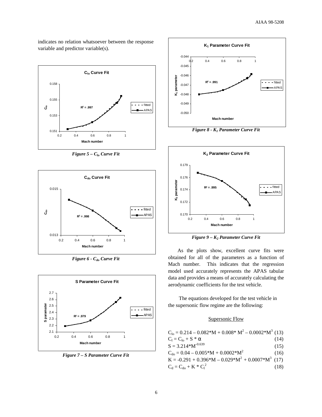indicates no relation whatsoever between the response variable and predictor variable(s).



*Figure 5 – Clo Curve Fit*



*Figure 6 - C<sub>do</sub> Curve Fit* 



*Figure 7 – S Parameter Curve Fit*



*Figure 8 - K1 Parameter Curve Fit*



*Figure 9 – K2 Parameter Curve Fit*

As the plots show, excellent curve fits were obtained for all of the parameters as a function of Mach number. This indicates that the regression model used accurately represents the APAS tabular data and provides a means of accurately calculating the aerodynamic coefficients for the test vehicle.

 The equations developed for the test vehicle in the supersonic flow regime are the following:

# Supersonic Flow

| $C_{10} = 0.214 - 0.082*M + 0.008*M^2 - 0.0002*M^3$ (13)  |      |
|-----------------------------------------------------------|------|
| $C_1 = C_{10} + S * \alpha$                               | (14) |
| $S = 3.214*M^{0.639}$                                     | (15) |
| $C_{\text{do}} = 0.04 - 0.005 \cdot M + 0.0002 \cdot M^2$ | (16) |
| $K = -0.291 + 0.396*M - 0.029*M^{2} + 0.0007*M^{3}$ (17)  |      |
| $C_d = C_{do} + K * C_l^2$                                | (18) |
|                                                           |      |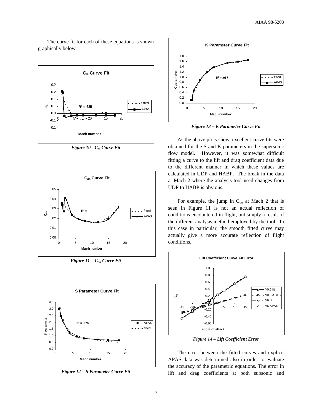The curve fit for each of these equations is shown graphically below.



*Figure 10 - Clo Curve Fit*







*Figure 12 – S Parameter Curve Fit*



*Figure 13 – K Parameter Curve Fit*

As the above plots show, excellent curve fits were obtained for the S and K parameters in the supersonic flow model. However, it was somewhat difficult fitting a curve to the lift and drag coefficient data due to the different manner in which these values are calculated in UDP and HABP. The break in the data at Mach 2 where the analysis tool used changes from UDP to HABP is obvious.

For example, the jump in  $C_{d0}$  at Mach 2 that is seen in Figure 11 is not an actual reflection of conditions encountered in flight, but simply a result of the different analysis method employed by the tool. In this case in particular, the smooth fitted curve may actually give a more accurate reflection of flight conditions.



*Figure 14 – Lift Coefficient Error*

The error between the fitted curves and explicit APAS data was determined also in order to evaluate the accuracy of the parametric equations. The error in lift and drag coefficients at both subsonic and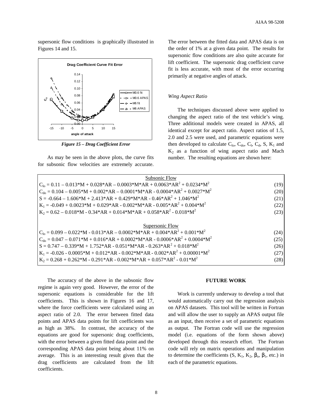supersonic flow conditions is graphically illustrated in Figures 14 and 15.



*Figure 15 – Drag Coefficient Error*

As may be seen in the above plots, the curve fits for subsonic flow velocities are extremely accurate.

The error between the fitted data and APAS data is on the order of 1% at a given data point. The results for supersonic flow conditions are also quite accurate for lift coefficient. The supersonic drag coefficient curve fit is less accurate, with most of the error occurring primarily at negative angles of attack.

# *Wing Aspect Ratio*

The techniques discussed above were applied to changing the aspect ratio of the test vehicle's wing. Three additional models were created in APAS, all identical except for aspect ratio. Aspect ratios of 1.5, 2.0 and 2.5 were used, and parametric equations were then developed to calculate  $C_{10}$ ,  $C_{d0}$ ,  $C_{1}$ ,  $C_{d}$ ,  $S$ ,  $K_1$  and  $K_2$  as a function of wing aspect ratio and Mach number. The resulting equations are shown here:

| Subsonic Flow                                                                                                                                                               |      |
|-----------------------------------------------------------------------------------------------------------------------------------------------------------------------------|------|
| $\left  C_{10} = 0.11 - 0.013*M + 0.028*AR - 0.0003*M*AR + 0.0063*AR^2 + 0.0234*M^2 \right $                                                                                | (19) |
| $\left  C_{\text{do}} = 0.104 - 0.005 \cdot M + 0.002 \cdot AR - 0.0001 \cdot M \cdot AR - 0.0004 \cdot AR^2 + 0.0027 \cdot M^2 \right $                                    | (20) |
| $S = -0.664 - 1.606*M + 2.413*AR + 0.429*M*AR - 0.46*AR2 + 1.046*M2$                                                                                                        | (21) |
| $\overline{K}_1 = -0.049 + 0.0023 \times M + 0.029 \times AR - 0.002 \times M \times AR - 0.005 \times AR^2 + 0.004 \times M^2$                                             | (22) |
| $\vert$ K <sub>2</sub> = 0.62 – 0.018*M - 0.34*AR + 0.014*M*AR + 0.058*AR <sup>2</sup> - 0.018*M <sup>2</sup>                                                               | (23) |
|                                                                                                                                                                             |      |
| Supersonic Flow                                                                                                                                                             |      |
| $\left  C_{10} = 0.099 - 0.022 \times M - 0.013 \times AR - 0.0002 \times M \times AR + 0.004 \times AR^2 + 0.001 \times M^2 \right $                                       | (24) |
| $\left  C_{\text{do}} = 0.047 - 0.071 \right  ^* M + 0.016 \left  ^* AR + 0.0002 \right  ^* M^* AR - 0.0006 \left  ^* AR^2 + 0.0004 \right  ^* M^2$                         | (25) |
| $\vert S = 0.747 - 0.339 * M + 1.752 * AR - 0.051 * M * AR - 0.263 * AR2 + 0.018 * M2$                                                                                      | (26) |
| $\overline{K}_1 = -0.026 - 0.0005 \times M + 0.012 \times AR - 0.002 \times M \times AR - 0.002 \times AR^2 + 0.00001 \times M^2$                                           | (27) |
| $K_2 = 0.268 + 0.262$ <sup>*</sup> M - 0.291 <sup>*</sup> AR - 0.002 <sup>*</sup> M <sup>*</sup> AR + 0.057 <sup>*</sup> AR <sup>2</sup> - 0.01 <sup>*</sup> M <sup>2</sup> | (28) |

The accuracy of the above in the subsonic flow regime is again very good. However, the error of the supersonic equations is considerable for the lift coefficients. This is shown in Figures 16 and 17, where the force coefficients were calculated using an aspect ratio of 2.0. The error between fitted data points and APAS data points for lift coefficients was as high as 38%. In contrast, the accuracy of the equations are good for supersonic drag coefficients, with the error between a given fitted data point and the corresponding APAS data point being about 11% on average. This is an interesting result given that the drag coefficients are calculated from the lift coefficients.

#### **FUTURE WORK**

Work is currently underway to develop a tool that would automatically carry out the regression analysis on APAS datasets. This tool will be written in Fortran and will allow the user to supply an APAS output file as an input, then receive a set of parametric equations as output. The Fortran code will use the regression model (i.e. equations of the form shown above) developed through this research effort. The Fortran code will rely on matrix operations and manipulation to determine the coefficients  $(S, K_1, K_2, \beta_0, \beta_1,$  etc.) in each of the parametric equations.